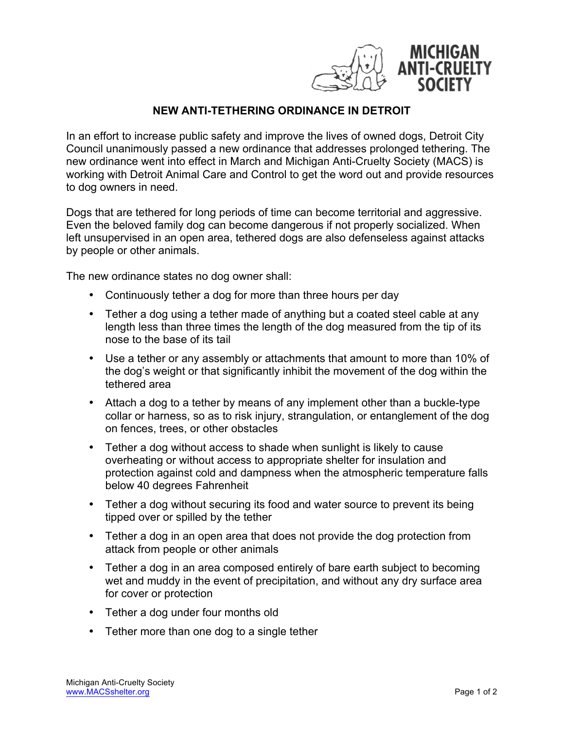

## **NEW ANTI-TETHERING ORDINANCE IN DETROIT**

In an effort to increase public safety and improve the lives of owned dogs, Detroit City Council unanimously passed a new ordinance that addresses prolonged tethering. The new ordinance went into effect in March and Michigan Anti-Cruelty Society (MACS) is working with Detroit Animal Care and Control to get the word out and provide resources to dog owners in need.

Dogs that are tethered for long periods of time can become territorial and aggressive. Even the beloved family dog can become dangerous if not properly socialized. When left unsupervised in an open area, tethered dogs are also defenseless against attacks by people or other animals.

The new ordinance states no dog owner shall:

- Continuously tether a dog for more than three hours per day
- Tether a dog using a tether made of anything but a coated steel cable at any length less than three times the length of the dog measured from the tip of its nose to the base of its tail
- Use a tether or any assembly or attachments that amount to more than 10% of the dog's weight or that significantly inhibit the movement of the dog within the tethered area
- Attach a dog to a tether by means of any implement other than a buckle-type collar or harness, so as to risk injury, strangulation, or entanglement of the dog on fences, trees, or other obstacles
- Tether a dog without access to shade when sunlight is likely to cause overheating or without access to appropriate shelter for insulation and protection against cold and dampness when the atmospheric temperature falls below 40 degrees Fahrenheit
- Tether a dog without securing its food and water source to prevent its being tipped over or spilled by the tether
- Tether a dog in an open area that does not provide the dog protection from attack from people or other animals
- Tether a dog in an area composed entirely of bare earth subject to becoming wet and muddy in the event of precipitation, and without any dry surface area for cover or protection
- Tether a dog under four months old
- Tether more than one dog to a single tether